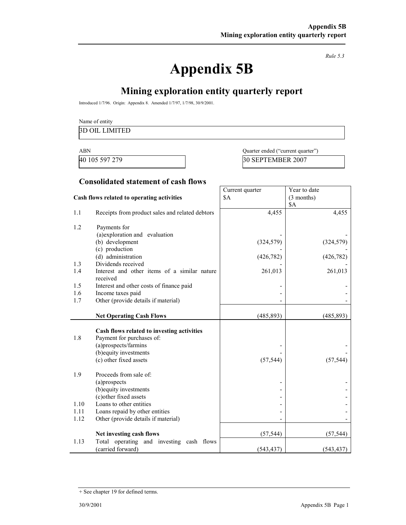Rule 5.3

# Appendix 5B

# Mining exploration entity quarterly report

Introduced 1/7/96. Origin: Appendix 8. Amended 1/7/97, 1/7/98, 30/9/2001.

Name of entity

#### 3D OIL LIMITED

ABN Quarter ended ("current quarter") 40 105 597 279 30 SEPTEMBER 2007

#### Consolidated statement of cash flows

|                                            |                                                  | Current quarter | Year to date |
|--------------------------------------------|--------------------------------------------------|-----------------|--------------|
| Cash flows related to operating activities |                                                  | \$A             | (3 months)   |
|                                            |                                                  |                 | \$A          |
| 1.1                                        | Receipts from product sales and related debtors  | 4,455           | 4,455        |
|                                            |                                                  |                 |              |
| 1.2                                        | Payments for                                     |                 |              |
|                                            | (a)exploration and evaluation                    |                 |              |
|                                            | (b) development                                  | (324, 579)      | (324, 579)   |
|                                            | (c) production                                   |                 |              |
| 1.3                                        | (d) administration<br>Dividends received         | (426, 782)      | (426, 782)   |
| 1.4                                        | Interest and other items of a similar nature     | 261,013         | 261,013      |
|                                            | received                                         |                 |              |
| 1.5                                        | Interest and other costs of finance paid         |                 |              |
| 1.6                                        | Income taxes paid                                |                 |              |
| 1.7                                        | Other (provide details if material)              |                 |              |
|                                            |                                                  |                 |              |
|                                            | <b>Net Operating Cash Flows</b>                  | (485, 893)      | (485, 893)   |
|                                            |                                                  |                 |              |
|                                            | Cash flows related to investing activities       |                 |              |
| 1.8                                        | Payment for purchases of:                        |                 |              |
|                                            | (a)prospects/farmins                             |                 |              |
|                                            | (b) equity investments<br>(c) other fixed assets | (57, 544)       |              |
|                                            |                                                  |                 | (57, 544)    |
| 1.9                                        | Proceeds from sale of:                           |                 |              |
|                                            | (a)prospects                                     |                 |              |
|                                            | (b) equity investments                           |                 |              |
|                                            | (c) other fixed assets                           |                 |              |
| 1.10                                       | Loans to other entities                          |                 |              |
| 1.11                                       | Loans repaid by other entities                   |                 |              |
| 1.12                                       | Other (provide details if material)              |                 |              |
|                                            | Net investing cash flows                         | (57, 544)       | (57, 544)    |
| 1.13                                       | Total operating and investing cash flows         |                 |              |
|                                            | (carried forward)                                | (543, 437)      | (543, 437)   |

<sup>+</sup> See chapter 19 for defined terms.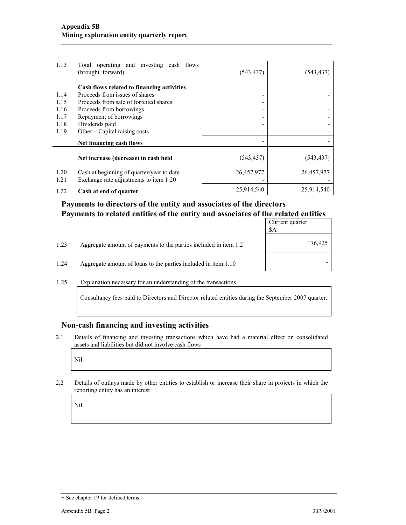| 1.13         | Total operating and investing cash flows<br>(brought forward)                       | (543, 437) | (543,437)  |
|--------------|-------------------------------------------------------------------------------------|------------|------------|
|              |                                                                                     |            |            |
|              | Cash flows related to financing activities                                          |            |            |
| 1.14         | Proceeds from issues of shares                                                      |            |            |
| 1.15         | Proceeds from sale of forfeited shares                                              |            |            |
| 1.16         | Proceeds from borrowings                                                            |            |            |
| 1.17         | Repayment of borrowings                                                             |            |            |
| 1.18         | Dividends paid                                                                      |            |            |
| 1.19         | Other – Capital raising costs                                                       |            |            |
|              | Net financing cash flows                                                            |            |            |
|              | Net increase (decrease) in cash held                                                | (543, 437) | (543, 437) |
| 1.20<br>1.21 | Cash at beginning of quarter/year to date<br>Exchange rate adjustments to item 1.20 | 26,457,977 | 26,457,977 |
| 1.22         | Cash at end of quarter                                                              | 25,914,540 | 25,914,540 |

## Payments to directors of the entity and associates of the directors Payments to related entities of the entity and associates of the related entities

|      |                                                                  | Current quarter<br>\$A |
|------|------------------------------------------------------------------|------------------------|
| 1.23 | Aggregate amount of payments to the parties included in item 1.2 | 176,925                |
| 1.24 | Aggregate amount of loans to the parties included in item 1.10   |                        |

#### 1.25 Explanation necessary for an understanding of the transactions

Consultancy fees paid to Directors and Director related entities during the September 2007 quarter.

#### Non-cash financing and investing activities

2.1 Details of financing and investing transactions which have had a material effect on consolidated assets and liabilities but did not involve cash flows

Nil

2.2 Details of outlays made by other entities to establish or increase their share in projects in which the reporting entity has an interest

Nil

<sup>+</sup> See chapter 19 for defined terms.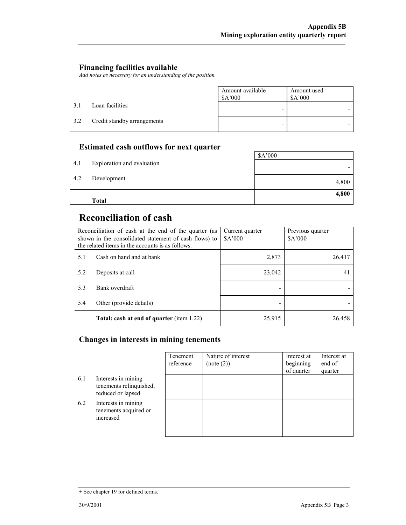### Financing facilities available

Add notes as necessary for an understanding of the position.

|     |                             | Amount available<br>\$A'000 | Amount used<br>A'000 |
|-----|-----------------------------|-----------------------------|----------------------|
| 3.1 | Loan facilities             |                             |                      |
| 3.2 | Credit standby arrangements | -                           |                      |

## Estimated cash outflows for next quarter

|     | Total                      |         |
|-----|----------------------------|---------|
|     |                            | 4,800   |
| 4.2 | Development                | 4,800   |
| 4.1 | Exploration and evaluation |         |
|     |                            | \$A'000 |

# Reconciliation of cash

|     | Reconciliation of cash at the end of the quarter (as<br>shown in the consolidated statement of cash flows) to<br>the related items in the accounts is as follows. | Current quarter<br>\$A'000 | Previous quarter<br>\$A'000 |
|-----|-------------------------------------------------------------------------------------------------------------------------------------------------------------------|----------------------------|-----------------------------|
| 5.1 | Cash on hand and at bank                                                                                                                                          | 2,873                      | 26,417                      |
| 5.2 | Deposits at call                                                                                                                                                  | 23,042                     | 41                          |
| 5.3 | Bank overdraft                                                                                                                                                    |                            |                             |
| 5.4 | Other (provide details)                                                                                                                                           |                            |                             |
|     | Total: cash at end of quarter (item 1.22)                                                                                                                         | 25,915                     | 26,458                      |

## Changes in interests in mining tenements

|     |                                                                     | Tenement<br>reference | Nature of interest<br>(note (2)) | Interest at<br>beginning<br>of quarter | Interest at<br>end of<br>quarter |
|-----|---------------------------------------------------------------------|-----------------------|----------------------------------|----------------------------------------|----------------------------------|
| 6.1 | Interests in mining<br>tenements relinquished,<br>reduced or lapsed |                       |                                  |                                        |                                  |
| 6.2 | Interests in mining<br>tenements acquired or<br>increased           |                       |                                  |                                        |                                  |
|     |                                                                     |                       |                                  |                                        |                                  |

<sup>+</sup> See chapter 19 for defined terms.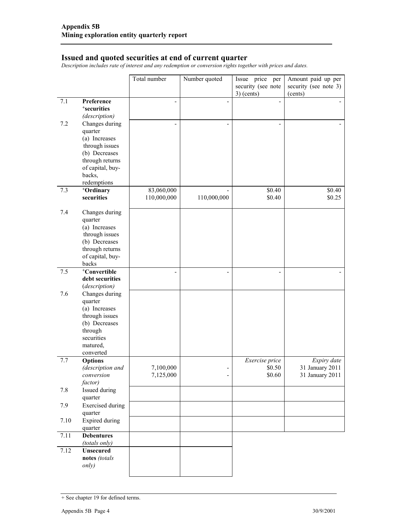#### Issued and quoted securities at end of current quarter

Description includes rate of interest and any redemption or conversion rights together with prices and dates.

|      |                                                                                                                                                  | Total number              | Number quoted | Issue price per<br>security (see note<br>$3)$ (cents) | Amount paid up per<br>security (see note 3)<br>(cents) |
|------|--------------------------------------------------------------------------------------------------------------------------------------------------|---------------------------|---------------|-------------------------------------------------------|--------------------------------------------------------|
| 7.1  | Preference<br><sup>+</sup> securities<br>(description)                                                                                           |                           |               |                                                       |                                                        |
| 7.2  | Changes during<br>quarter<br>(a) Increases<br>through issues<br>(b) Decreases<br>through returns<br>of capital, buy-<br>backs,<br>redemptions    |                           |               |                                                       |                                                        |
| 7.3  | <sup>+</sup> Ordinary<br>securities                                                                                                              | 83,060,000<br>110,000,000 | 110,000,000   | \$0.40<br>\$0.40                                      | \$0.40<br>\$0.25                                       |
| 7.4  | Changes during<br>quarter<br>(a) Increases<br>through issues<br>(b) Decreases<br>through returns<br>of capital, buy-<br>backs                    |                           |               |                                                       |                                                        |
| 7.5  | +Convertible<br>debt securities                                                                                                                  |                           |               |                                                       |                                                        |
| 7.6  | (description)<br>Changes during<br>quarter<br>(a) Increases<br>through issues<br>(b) Decreases<br>through<br>securities<br>matured,<br>converted |                           |               |                                                       |                                                        |
| 7.7  | <b>Options</b><br>(description and<br>conversion<br>factor)                                                                                      | 7,100,000<br>7,125,000    | ٠             | Exercise price<br>\$0.50<br>\$0.60                    | Expiry date<br>31 January 2011<br>31 January 2011      |
| 7.8  | Issued during<br>quarter                                                                                                                         |                           |               |                                                       |                                                        |
| 7.9  | <b>Exercised</b> during<br>quarter                                                                                                               |                           |               |                                                       |                                                        |
| 7.10 | <b>Expired</b> during<br>quarter                                                                                                                 |                           |               |                                                       |                                                        |
| 7.11 | <b>Debentures</b><br>(totals only)                                                                                                               |                           |               |                                                       |                                                        |
| 7.12 | <b>Unsecured</b><br>notes (totals<br>only)                                                                                                       |                           |               |                                                       |                                                        |

<sup>+</sup> See chapter 19 for defined terms.